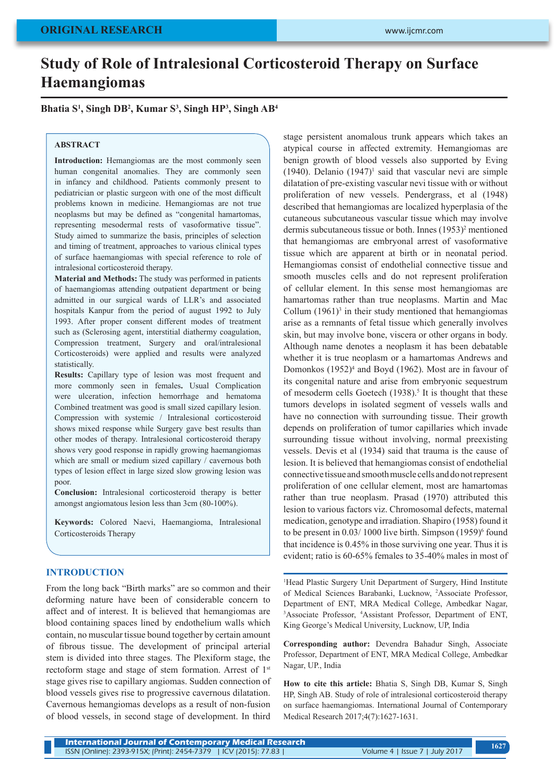# **Study of Role of Intralesional Corticosteroid Therapy on Surface Haemangiomas**

## **Bhatia S1 , Singh DB2 , Kumar S3 , Singh HP3 , Singh AB4**

### **ABSTRACT**

**Introduction:** Hemangiomas are the most commonly seen human congenital anomalies. They are commonly seen in infancy and childhood. Patients commonly present to pediatrician or plastic surgeon with one of the most difficult problems known in medicine. Hemangiomas are not true neoplasms but may be defined as "congenital hamartomas, representing mesodermal rests of vasoformative tissue". Study aimed to summarize the basis, principles of selection and timing of treatment, approaches to various clinical types of surface haemangiomas with special reference to role of intralesional corticosteroid therapy.

**Material and Methods:** The study was performed in patients of haemangiomas attending outpatient department or being admitted in our surgical wards of LLR's and associated hospitals Kanpur from the period of august 1992 to July 1993. After proper consent different modes of treatment such as (Sclerosing agent, interstitial diathermy coagulation, Compression treatment, Surgery and oral/intralesional Corticosteroids) were applied and results were analyzed statistically.

**Results:** Capillary type of lesion was most frequent and more commonly seen in females**.** Usual Complication were ulceration, infection hemorrhage and hematoma Combined treatment was good is small sized capillary lesion. Compression with systemic / Intralesional corticosteroid shows mixed response while Surgery gave best results than other modes of therapy. Intralesional corticosteroid therapy shows very good response in rapidly growing haemangiomas which are small or medium sized capillary / cavernous both types of lesion effect in large sized slow growing lesion was poor.

**Conclusion:** Intralesional corticosteroid therapy is better amongst angiomatous lesion less than 3cm (80-100%).

**Keywords:** Colored Naevi, Haemangioma, Intralesional Corticosteroids Therapy

#### **INTRODUCTION**

From the long back "Birth marks" are so common and their deforming nature have been of considerable concern to affect and of interest. It is believed that hemangiomas are blood containing spaces lined by endothelium walls which contain, no muscular tissue bound together by certain amount of fibrous tissue. The development of principal arterial stem is divided into three stages. The Plexiform stage, the rectoform stage and stage of stem formation. Arrest of 1<sup>st</sup> stage gives rise to capillary angiomas. Sudden connection of blood vessels gives rise to progressive cavernous dilatation. Cavernous hemangiomas develops as a result of non-fusion of blood vessels, in second stage of development. In third

stage persistent anomalous trunk appears which takes an atypical course in affected extremity. Hemangiomas are benign growth of blood vessels also supported by Eving  $(1940)$ . Delanio  $(1947)^1$  said that vascular nevi are simple dilatation of pre-existing vascular nevi tissue with or without proliferation of new vessels. Pendergrass, et al (1948) described that hemangiomas are localized hyperplasia of the cutaneous subcutaneous vascular tissue which may involve dermis subcutaneous tissue or both. Innes (1953)<sup>2</sup> mentioned that hemangiomas are embryonal arrest of vasoformative tissue which are apparent at birth or in neonatal period. Hemangiomas consist of endothelial connective tissue and smooth muscles cells and do not represent proliferation of cellular element. In this sense most hemangiomas are hamartomas rather than true neoplasms. Martin and Mac Collum  $(1961)^3$  in their study mentioned that hemangiomas arise as a remnants of fetal tissue which generally involves skin, but may involve bone, viscera or other organs in body. Although name denotes a neoplasm it has been debatable whether it is true neoplasm or a hamartomas Andrews and Domonkos (1952)<sup>4</sup> and Boyd (1962). Most are in favour of its congenital nature and arise from embryonic sequestrum of mesoderm cells Goetech  $(1938)$ .<sup>5</sup> It is thought that these tumors develops in isolated segment of vessels walls and have no connection with surrounding tissue. Their growth depends on proliferation of tumor capillaries which invade surrounding tissue without involving, normal preexisting vessels. Devis et al (1934) said that trauma is the cause of lesion. It is believed that hemangiomas consist of endothelial connective tissue and smooth muscle cells and do not represent proliferation of one cellular element, most are hamartomas rather than true neoplasm. Prasad (1970) attributed this lesion to various factors viz. Chromosomal defects, maternal medication, genotype and irradiation. Shapiro (1958) found it to be present in  $0.03/1000$  live birth. Simpson  $(1959)^6$  found that incidence is 0.45% in those surviving one year. Thus it is evident; ratio is 60-65% females to 35-40% males in most of

1 Head Plastic Surgery Unit Department of Surgery, Hind Institute of Medical Sciences Barabanki, Lucknow, <sup>2</sup> Associate Professor, Department of ENT, MRA Medical College, Ambedkar Nagar, 3 Associate Professor, <sup>4</sup> Assistant Professor, Department of ENT, King George's Medical University, Lucknow, UP, India

**Corresponding author:** Devendra Bahadur Singh, Associate Professor, Department of ENT, MRA Medical College, Ambedkar Nagar, UP., India

**How to cite this article:** Bhatia S, Singh DB, Kumar S, Singh HP, Singh AB. Study of role of intralesional corticosteroid therapy on surface haemangiomas. International Journal of Contemporary Medical Research 2017;4(7):1627-1631.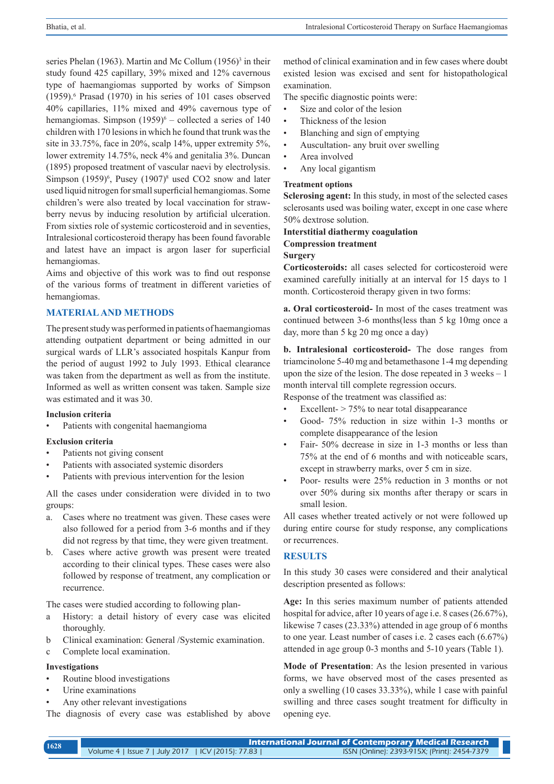series Phelan (1963). Martin and Mc Collum (1956)<sup>3</sup> in their study found 425 capillary, 39% mixed and 12% cavernous type of haemangiomas supported by works of Simpson (1959).<sup>6</sup> Prasad (1970) in his series of 101 cases observed 40% capillaries, 11% mixed and 49% cavernous type of hemangiomas. Simpson  $(1959)^6$  – collected a series of 140 children with 170 lesions in which he found that trunk was the site in 33.75%, face in 20%, scalp 14%, upper extremity 5%, lower extremity 14.75%, neck 4% and genitalia 3%. Duncan (1895) proposed treatment of vascular naevi by electrolysis. Simpson  $(1959)^6$ , Pusey  $(1907)^8$  used CO2 snow and later used liquid nitrogen for small superficial hemangiomas. Some children's were also treated by local vaccination for strawberry nevus by inducing resolution by artificial ulceration. From sixties role of systemic corticosteroid and in seventies, Intralesional corticosteroid therapy has been found favorable and latest have an impact is argon laser for superficial hemangiomas.

Aims and objective of this work was to find out response of the various forms of treatment in different varieties of hemangiomas.

## **MATERIAL AND METHODS**

The present study was performed in patients of haemangiomas attending outpatient department or being admitted in our surgical wards of LLR's associated hospitals Kanpur from the period of august 1992 to July 1993. Ethical clearance was taken from the department as well as from the institute. Informed as well as written consent was taken. Sample size was estimated and it was 30.

### **Inclusion criteria**

Patients with congenital haemangioma

### **Exclusion criteria**

- Patients not giving consent
- Patients with associated systemic disorders
- Patients with previous intervention for the lesion

All the cases under consideration were divided in to two groups:

- a. Cases where no treatment was given. These cases were also followed for a period from 3-6 months and if they did not regress by that time, they were given treatment.
- b. Cases where active growth was present were treated according to their clinical types. These cases were also followed by response of treatment, any complication or recurrence.

The cases were studied according to following plan-

- a History: a detail history of every case was elicited thoroughly.
- b Clinical examination: General /Systemic examination.
- c Complete local examination.

#### **Investigations**

- Routine blood investigations
- Urine examinations
- Any other relevant investigations
- The diagnosis of every case was established by above

method of clinical examination and in few cases where doubt existed lesion was excised and sent for histopathological examination.

The specific diagnostic points were:

- Size and color of the lesion
- Thickness of the lesion
- Blanching and sign of emptying
- Auscultation- any bruit over swelling
- Area involved
- Any local gigantism

#### **Treatment options**

**Sclerosing agent:** In this study, in most of the selected cases sclerosants used was boiling water, except in one case where 50% dextrose solution.

**Interstitial diathermy coagulation Compression treatment Surgery**

**Corticosteroids:** all cases selected for corticosteroid were examined carefully initially at an interval for 15 days to 1 month. Corticosteroid therapy given in two forms:

**a. Oral corticosteroid-** In most of the cases treatment was continued between 3-6 months(less than 5 kg 10mg once a day, more than 5 kg 20 mg once a day)

**b. Intralesional corticosteroid-** The dose ranges from triamcinolone 5-40 mg and betamethasone 1-4 mg depending upon the size of the lesion. The dose repeated in 3 weeks – 1 month interval till complete regression occurs.

Response of the treatment was classified as:

- Excellent- $> 75\%$  to near total disappearance
- Good- 75% reduction in size within 1-3 months or complete disappearance of the lesion
- Fair- 50% decrease in size in 1-3 months or less than 75% at the end of 6 months and with noticeable scars, except in strawberry marks, over 5 cm in size.
- Poor- results were 25% reduction in 3 months or not over 50% during six months after therapy or scars in small lesion.

All cases whether treated actively or not were followed up during entire course for study response, any complications or recurrences.

## **RESULTS**

In this study 30 cases were considered and their analytical description presented as follows:

**Age:** In this series maximum number of patients attended hospital for advice, after 10 years of age i.e. 8 cases (26.67%), likewise 7 cases (23.33%) attended in age group of 6 months to one year. Least number of cases i.e. 2 cases each (6.67%) attended in age group 0-3 months and 5-10 years (Table 1).

**Mode of Presentation**: As the lesion presented in various forms, we have observed most of the cases presented as only a swelling (10 cases 33.33%), while 1 case with painful swilling and three cases sought treatment for difficulty in opening eye.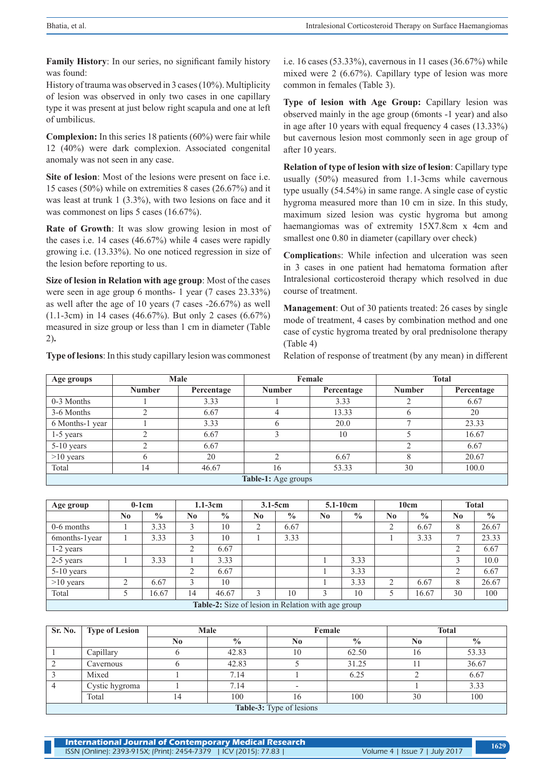**Family History**: In our series, no significant family history was found:

History of trauma was observed in 3 cases (10%). Multiplicity of lesion was observed in only two cases in one capillary type it was present at just below right scapula and one at left of umbilicus.

**Complexion:** In this series 18 patients (60%) were fair while 12 (40%) were dark complexion. Associated congenital anomaly was not seen in any case.

**Site of lesion**: Most of the lesions were present on face i.e. 15 cases (50%) while on extremities 8 cases (26.67%) and it was least at trunk 1 (3.3%), with two lesions on face and it was commonest on lips 5 cases (16.67%).

**Rate of Growth**: It was slow growing lesion in most of the cases i.e. 14 cases (46.67%) while 4 cases were rapidly growing i.e. (13.33%). No one noticed regression in size of the lesion before reporting to us.

**Size of lesion in Relation with age group**: Most of the cases were seen in age group 6 months- 1 year (7 cases 23.33%) as well after the age of 10 years (7 cases -26.67%) as well (1.1-3cm) in 14 cases (46.67%). But only 2 cases (6.67%) measured in size group or less than 1 cm in diameter (Table 2)**.**

**Type of lesions**: In this study capillary lesion was commonest

i.e. 16 cases (53.33%), cavernous in 11 cases (36.67%) while mixed were 2 (6.67%). Capillary type of lesion was more common in females (Table 3).

**Type of lesion with Age Group:** Capillary lesion was observed mainly in the age group (6monts -1 year) and also in age after 10 years with equal frequency 4 cases (13.33%) but cavernous lesion most commonly seen in age group of after 10 years.

**Relation of type of lesion with size of lesion**: Capillary type usually (50%) measured from 1.1-3cms while cavernous type usually (54.54%) in same range. A single case of cystic hygroma measured more than 10 cm in size. In this study, maximum sized lesion was cystic hygroma but among haemangiomas was of extremity 15X7.8cm x 4cm and smallest one 0.80 in diameter (capillary over check)

**Complication**s: While infection and ulceration was seen in 3 cases in one patient had hematoma formation after Intralesional corticosteroid therapy which resolved in due course of treatment.

**Management**: Out of 30 patients treated: 26 cases by single mode of treatment, 4 cases by combination method and one case of cystic hygroma treated by oral prednisolone therapy (Table 4)

Relation of response of treatment (by any mean) in different

| Age groups          |               | Male       |               | Female     | <b>Total</b>  |            |  |  |  |  |
|---------------------|---------------|------------|---------------|------------|---------------|------------|--|--|--|--|
|                     | <b>Number</b> | Percentage | <b>Number</b> | Percentage | <b>Number</b> | Percentage |  |  |  |  |
| 0-3 Months          |               | 3.33       |               | 3.33       |               | 6.67       |  |  |  |  |
| 3-6 Months          |               | 6.67       |               | 13.33      | b             | 20         |  |  |  |  |
| 6 Months-1 year     |               | 3.33       |               | 20.0       |               | 23.33      |  |  |  |  |
| $1-5$ years         |               | 6.67       |               | 10         |               | 16.67      |  |  |  |  |
| 5-10 years          |               | 6.67       |               |            |               | 6.67       |  |  |  |  |
| $>10$ years         |               | 20         |               | 6.67       |               | 20.67      |  |  |  |  |
| Total               | 14            | 46.67      | 16            | 53.33      | 30            | 100.0      |  |  |  |  |
| Table-1: Age groups |               |            |               |            |               |            |  |  |  |  |

| Age group                                          | $0-1$ cm       |               | $1.1-3cm$ |               | $3.1 - 5cm$ |               | 5.1-10cm       |               | 10cm           |               | <b>Total</b>   |               |
|----------------------------------------------------|----------------|---------------|-----------|---------------|-------------|---------------|----------------|---------------|----------------|---------------|----------------|---------------|
|                                                    | N <sub>0</sub> | $\frac{0}{0}$ | No        | $\frac{0}{0}$ | No.         | $\frac{0}{0}$ | N <sub>0</sub> | $\frac{0}{0}$ | N <sub>0</sub> | $\frac{0}{0}$ | N <sub>0</sub> | $\frac{0}{0}$ |
| $0-6$ months                                       |                | 3.33          |           | 10            | 2           | 6.67          |                |               | 2              | 6.67          | 8              | 26.67         |
| 6months-1year                                      |                | 3.33          |           | 10            |             | 3.33          |                |               |                | 3.33          | -              | 23.33         |
| $1-2$ years                                        |                |               | 2         | 6.67          |             |               |                |               |                |               |                | 6.67          |
| 2-5 years                                          |                | 3.33          |           | 3.33          |             |               |                | 3.33          |                |               |                | 10.0          |
| $5-10$ years                                       |                |               | 2         | 6.67          |             |               |                | 3.33          |                |               |                | 6.67          |
| $>10$ years                                        | ↑              | 6.67          | 3         | 10            |             |               |                | 3.33          | $\overline{2}$ | 6.67          | 8              | 26.67         |
| Total                                              |                | 16.67         | 14        | 46.67         | 3           | 10            |                | 10            | 5              | 16.67         | 30             | 100           |
| Table-2: Size of lesion in Relation with age group |                |               |           |               |             |               |                |               |                |               |                |               |

| Sr. No.                  | <b>Type of Lesion</b> |                | Male          |    | Female        | <b>Total</b> |               |  |  |  |
|--------------------------|-----------------------|----------------|---------------|----|---------------|--------------|---------------|--|--|--|
|                          |                       | N <sub>0</sub> | $\frac{0}{0}$ | No | $\frac{6}{9}$ | No           | $\frac{0}{0}$ |  |  |  |
|                          | Capillary             |                | 42.83         | 10 | 62.50         | 16           | 53.33         |  |  |  |
|                          | Cavernous             |                | 42.83         |    | 31.25         |              | 36.67         |  |  |  |
|                          | Mixed                 |                | 7.14          |    | 6.25          |              | 6.67          |  |  |  |
|                          | Cystic hygroma        |                | 7.14          |    |               |              | 3.33          |  |  |  |
|                          | Total                 | 14             | 100           |    | 100           | 30           | 100           |  |  |  |
| Table-3: Type of lesions |                       |                |               |    |               |              |               |  |  |  |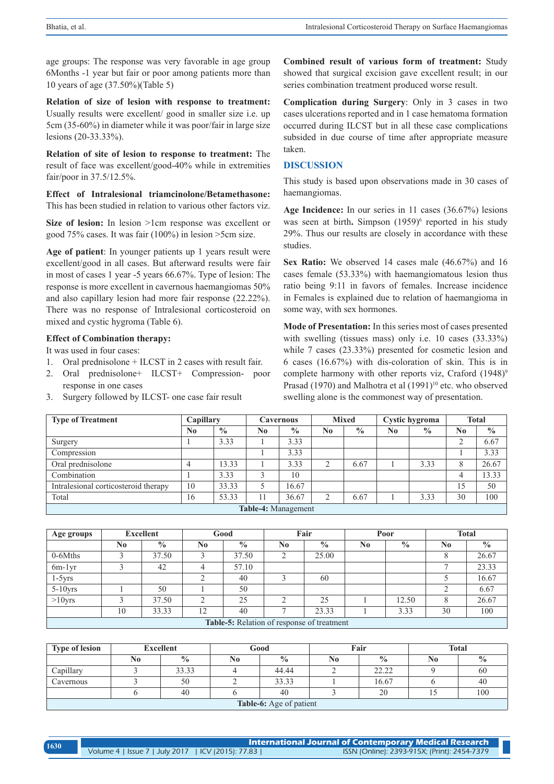age groups: The response was very favorable in age group 6Months -1 year but fair or poor among patients more than 10 years of age (37.50%)(Table 5)

**Relation of size of lesion with response to treatment:** Usually results were excellent/ good in smaller size i.e. up 5cm (35-60%) in diameter while it was poor/fair in large size lesions (20-33.33%).

**Relation of site of lesion to response to treatment:** The result of face was excellent/good-40% while in extremities fair/poor in 37.5/12.5%.

**Effect of Intralesional triamcinolone/Betamethasone:**  This has been studied in relation to various other factors viz.

**Size of lesion:** In lesion >1cm response was excellent or good 75% cases. It was fair (100%) in lesion >5cm size.

**Age of patient**: In younger patients up 1 years result were excellent/good in all cases. But afterward results were fair in most of cases 1 year -5 years 66.67%. Type of lesion: The response is more excellent in cavernous haemangiomas 50% and also capillary lesion had more fair response (22.22%). There was no response of Intralesional corticosteroid on mixed and cystic hygroma (Table 6).

#### **Effect of Combination therapy:**

It was used in four cases:

- 1. Oral prednisolone + ILCST in 2 cases with result fair.
- 2. Oral prednisolone+ ILCST+ Compression- poor response in one cases
- 3. Surgery followed by ILCST- one case fair result

**Combined result of various form of treatment:** Study showed that surgical excision gave excellent result; in our series combination treatment produced worse result.

**Complication during Surgery**: Only in 3 cases in two cases ulcerations reported and in 1 case hematoma formation occurred during ILCST but in all these case complications subsided in due course of time after appropriate measure taken.

#### **DISCUSSION**

This study is based upon observations made in 30 cases of haemangiomas.

**Age Incidence:** In our series in 11 cases (36.67%) lesions was seen at birth. Simpson (1959)<sup>6</sup> reported in his study 29%. Thus our results are closely in accordance with these studies.

**Sex Ratio:** We observed 14 cases male (46.67%) and 16 cases female (53.33%) with haemangiomatous lesion thus ratio being 9:11 in favors of females. Increase incidence in Females is explained due to relation of haemangioma in some way, with sex hormones.

**Mode of Presentation:** In this series most of cases presented with swelling (tissues mass) only i.e. 10 cases (33.33%) while 7 cases (23.33%) presented for cosmetic lesion and 6 cases (16.67%) with dis-coloration of skin. This is in complete harmony with other reports viz, Craford  $(1948)^9$ Prasad (1970) and Malhotra et al (1991)<sup>10</sup> etc. who observed swelling alone is the commonest way of presentation.

| <b>Type of Treatment</b>             | Capillary      |               | <b>Cavernous</b> |               | <b>Mixed</b> |               | Cystic hygroma |               | <b>Total</b> |               |
|--------------------------------------|----------------|---------------|------------------|---------------|--------------|---------------|----------------|---------------|--------------|---------------|
|                                      | N <sub>0</sub> | $\frac{0}{0}$ | N0               | $\frac{0}{0}$ | No           | $\frac{0}{0}$ | No             | $\frac{6}{9}$ | No           | $\frac{0}{0}$ |
| Surgery                              |                | 3.33          |                  | 3.33          |              |               |                |               | ◠            | 6.67          |
| Compression                          |                |               |                  | 3.33          |              |               |                |               |              | 3.33          |
| Oral prednisolone                    |                | 13.33         |                  | 3.33          | ◠            | 6.67          |                | 3.33          |              | 26.67         |
| Combination                          |                | 3.33          |                  | 10            |              |               |                |               | 4            | 13.33         |
| Intralesional corticosteroid therapy | 10             | 33.33         |                  | 16.67         |              |               |                |               | 15           | 50            |
| Total                                | 16             | 53.33         |                  | 36.67         | ◠            | 6.67          |                | 3.33          | 30           | 100           |
| Table-4: Management                  |                |               |                  |               |              |               |                |               |              |               |

| Age groups                                        | <b>Excellent</b> |               | Good |               | Fair           |               | Poor           |               | <b>Total</b>   |               |
|---------------------------------------------------|------------------|---------------|------|---------------|----------------|---------------|----------------|---------------|----------------|---------------|
|                                                   | No               | $\frac{0}{0}$ | No   | $\frac{0}{0}$ | N <sub>0</sub> | $\frac{0}{0}$ | N <sub>0</sub> | $\frac{0}{0}$ | N <sub>0</sub> | $\frac{0}{0}$ |
| $0-6M$ ths                                        |                  | 37.50         |      | 37.50         | ◠              | 25.00         |                |               |                | 26.67         |
| $6m-1yr$                                          |                  | 42            | 4    | 57.10         |                |               |                |               |                | 23.33         |
| $1-5yrs$                                          |                  |               | ◠    | 40            |                | 60            |                |               |                | 16.67         |
| $5-10$ yrs                                        |                  | 50            |      | 50            |                |               |                |               |                | 6.67          |
| $>10$ yrs                                         |                  | 37.50         | ◠    | 25            | ◠              | 25            |                | 12.50         |                | 26.67         |
|                                                   | 10               | 33.33         | 12   | 40            |                | 23.33         |                | 3.33          | 30             | 100           |
| <b>Table-5:</b> Relation of response of treatment |                  |               |      |               |                |               |                |               |                |               |

| <b>Type of lesion</b>   | <b>Excellent</b> |               | Good |               |    | Fair          | <b>Total</b> |               |  |  |
|-------------------------|------------------|---------------|------|---------------|----|---------------|--------------|---------------|--|--|
|                         | No.              | $\frac{0}{0}$ | No   | $\frac{0}{0}$ | No | $\frac{0}{0}$ | N0           | $\frac{0}{0}$ |  |  |
| Capillary               |                  | 33.33         |      | 44.44         |    | 22.22         |              | -66           |  |  |
| Cavernous               |                  | 50            |      | 33.33         |    | 16.67         |              | 40            |  |  |
|                         |                  | 40            |      | 40            |    | 20            |              | 100           |  |  |
| Table-6: Age of patient |                  |               |      |               |    |               |              |               |  |  |

**International Journal of Contemporary Medical Research**  Volume 4 | Issue 7 | July 2017 | ICV (2015): 77.83 | ISSN (Online): 2393-915X; (Print): 2454-7379 **<sup>1630</sup>**